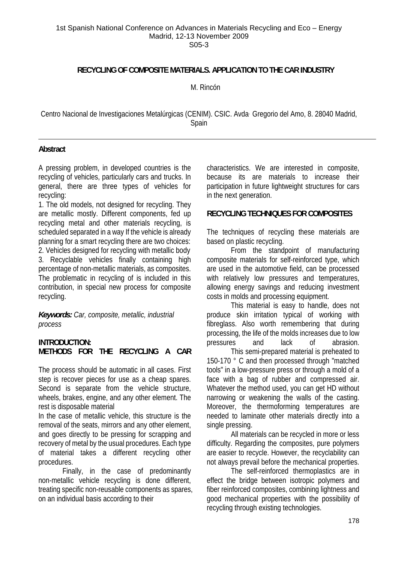#### 1st Spanish National Conference on Advances in Materials Recycling and Eco – Energy Madrid, 12-13 November 2009 S05-3

### **RECYCLING OF COMPOSITE MATERIALS. APPLICATION TO THE CAR INDUSTRY**

M. Rincón

Centro Nacional de Investigaciones Metalúrgicas (CENIM). CSIC. Avda. Gregorio del Amo, 8. 28040 Madrid, Spain

### **Abstract**

A pressing problem, in developed countries is the recycling of vehicles, particularly cars and trucks. In general, there are three types of vehicles for recycling:

1. The old models, not designed for recycling. They are metallic mostly. Different components, fed up recycling metal and other materials recycling, is scheduled separated in a way If the vehicle is already planning for a smart recycling there are two choices: 2. Vehicles designed for recycling with metallic body 3. Recyclable vehicles finally containing high percentage of non-metallic materials, as composites. The problematic in recycling of is included in this contribution, in special new process for composite recycling.

*Keywords: Car, composite, metallic, industrial process* 

## **INTRODUCTION: METHODS FOR THE RECYCLING A CAR**

The process should be automatic in all cases. First step is recover pieces for use as a cheap spares. Second is separate from the vehicle structure, wheels, brakes, engine, and any other element. The rest is disposable material

In the case of metallic vehicle, this structure is the removal of the seats, mirrors and any other element, and goes directly to be pressing for scrapping and recovery of metal by the usual procedures. Each type of material takes a different recycling other procedures.

 Finally, in the case of predominantly non-metallic vehicle recycling is done different, treating specific non-reusable components as spares, on an individual basis according to their

characteristics. We are interested in composite, because its are materials to increase their participation in future lightweight structures for cars in the next generation.

### **RECYCLING TECHNIQUES FOR COMPOSITES**

The techniques of recycling these materials are based on plastic recycling.

 From the standpoint of manufacturing composite materials for self-reinforced type, which are used in the automotive field, can be processed with relatively low pressures and temperatures, allowing energy savings and reducing investment costs in molds and processing equipment.

 This material is easy to handle, does not produce skin irritation typical of working with fibreglass. Also worth remembering that during processing, the life of the molds increases due to low pressures and lack of abrasion.

 This semi-prepared material is preheated to 150-170 ° C and then processed through "matched tools" in a low-pressure press or through a mold of a face with a bag of rubber and compressed air. Whatever the method used, you can get HD without narrowing or weakening the walls of the casting. Moreover, the thermoforming temperatures are needed to laminate other materials directly into a single pressing.

 All materials can be recycled in more or less difficulty. Regarding the composites, pure polymers are easier to recycle. However, the recyclability can not always prevail before the mechanical properties.

 The self-reinforced thermoplastics are in effect the bridge between isotropic polymers and fiber reinforced composites, combining lightness and good mechanical properties with the possibility of recycling through existing technologies.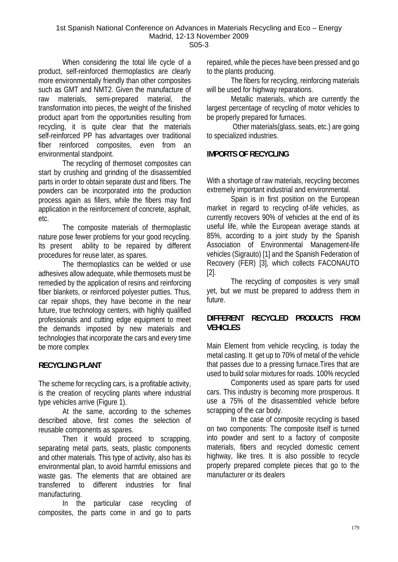When considering the total life cycle of a product, self-reinforced thermoplastics are clearly more environmentally friendly than other composites such as GMT and NMT2. Given the manufacture of raw materials, semi-prepared material, the transformation into pieces, the weight of the finished product apart from the opportunities resulting from recycling, it is quite clear that the materials self-reinforced PP has advantages over traditional fiber reinforced composites, even from an environmental standpoint.

 The recycling of thermoset composites can start by crushing and grinding of the disassembled parts in order to obtain separate dust and fibers. The powders can be incorporated into the production process again as fillers, while the fibers may find application in the reinforcement of concrete, asphalt, etc.

 The composite materials of thermoplastic nature pose fewer problems for your good recycling. Its present ability to be repaired by different procedures for reuse later, as spares.

 The thermoplastics can be welded or use adhesives allow adequate, while thermosets must be remedied by the application of resins and reinforcing fiber blankets, or reinforced polyester putties. Thus, car repair shops, they have become in the near future, true technology centers, with highly qualified professionals and cutting edge equipment to meet the demands imposed by new materials and technologies that incorporate the cars and every time be more complex

# **RECYCLING PLANT**

The scheme for recycling cars, is a profitable activity, is the creation of recycling plants where industrial type vehicles arrive (Figure 1).

 At the same, according to the schemes described above, first comes the selection of reusable components as spares.

 Then it would proceed to scrapping, separating metal parts, seats, plastic components and other materials. This type of activity, also has its environmental plan, to avoid harmful emissions and waste gas. The elements that are obtained are transferred to different industries for final manufacturing.

 In the particular case recycling of composites, the parts come in and go to parts repaired, while the pieces have been pressed and go to the plants producing.

 The fibers for recycling, reinforcing materials will be used for highway reparations.

 Metallic materials, which are currently the largest percentage of recycling of motor vehicles to be properly prepared for furnaces.

 Other materials(glass, seats, etc.) are going to specialized industries.

# **IMPORTS OF RECYCLING**

With a shortage of raw materials, recycling becomes extremely important industrial and environmental.

 Spain is in first position on the European market in regard to recycling of-life vehicles, as currently recovers 90% of vehicles at the end of its useful life, while the European average stands at 85%, according to a joint study by the Spanish Association of Environmental Management-life vehicles (Sigrauto) [1] and the Spanish Federation of Recovery (FER) [3], which collects FACONAUTO [2].

 The recycling of composites is very small yet, but we must be prepared to address them in future.

# **DIFFERENT RECYCLED PRODUCTS FROM VEHICLES**

Main Element from vehicle recycling, is today the metal casting. It get up to 70% of metal of the vehicle that passes due to a pressing furnace.Tires that are used to build solar mixtures for roads. 100% recycled

 Components used as spare parts for used cars. This industry is becoming more prosperous. It use a 75% of the disassembled vehicle before scrapping of the car body.

 In the case of composite recycling is based on two components: The composite itself is turned into powder and sent to a factory of composite materials, fibers and recycled domestic cement highway, like tires. It is also possible to recycle properly prepared complete pieces that go to the manufacturer or its dealers